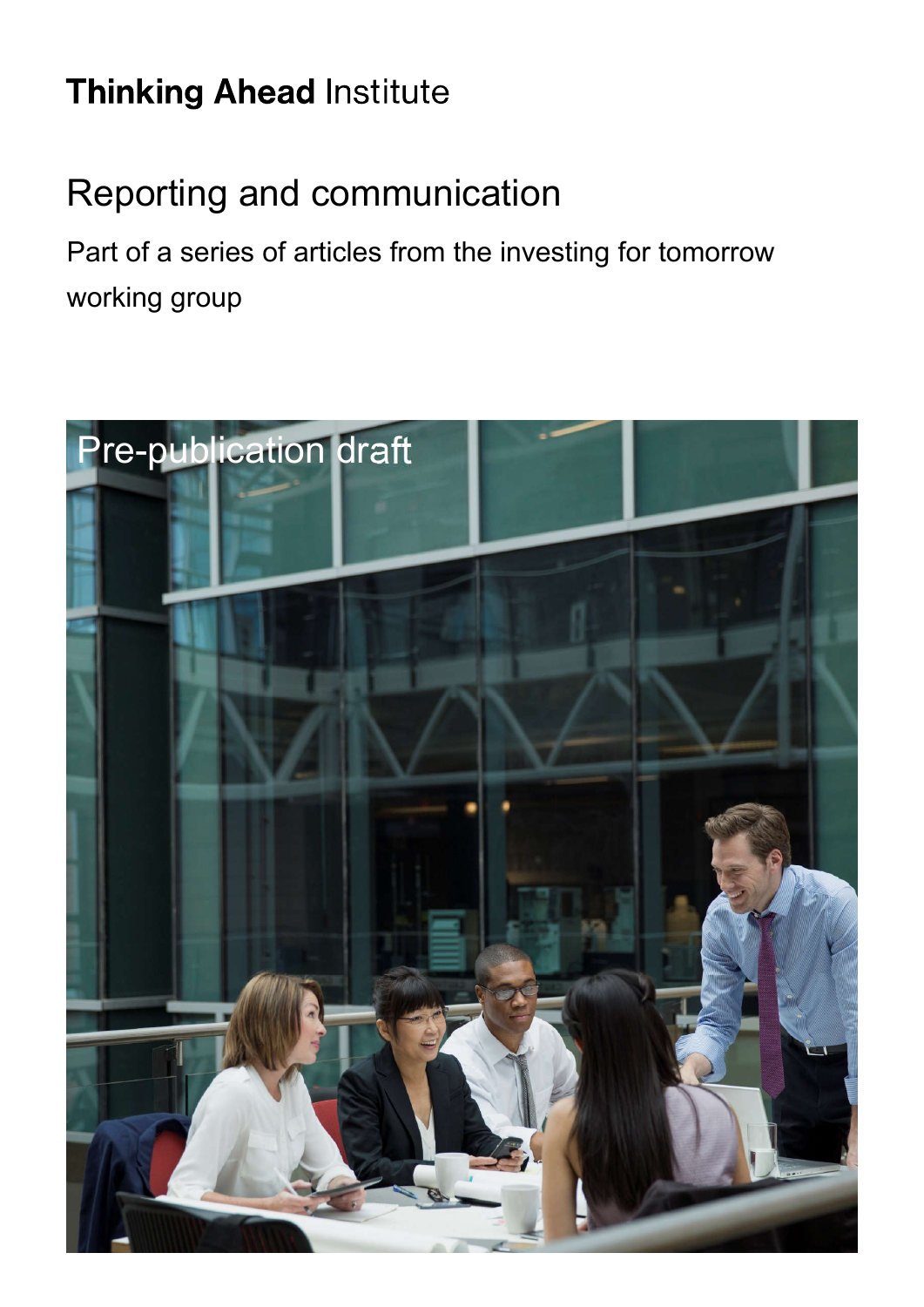# **Thinking Ahead Institute**

# Reporting and communication

Part of a series of articles from the investing for tomorrow working group

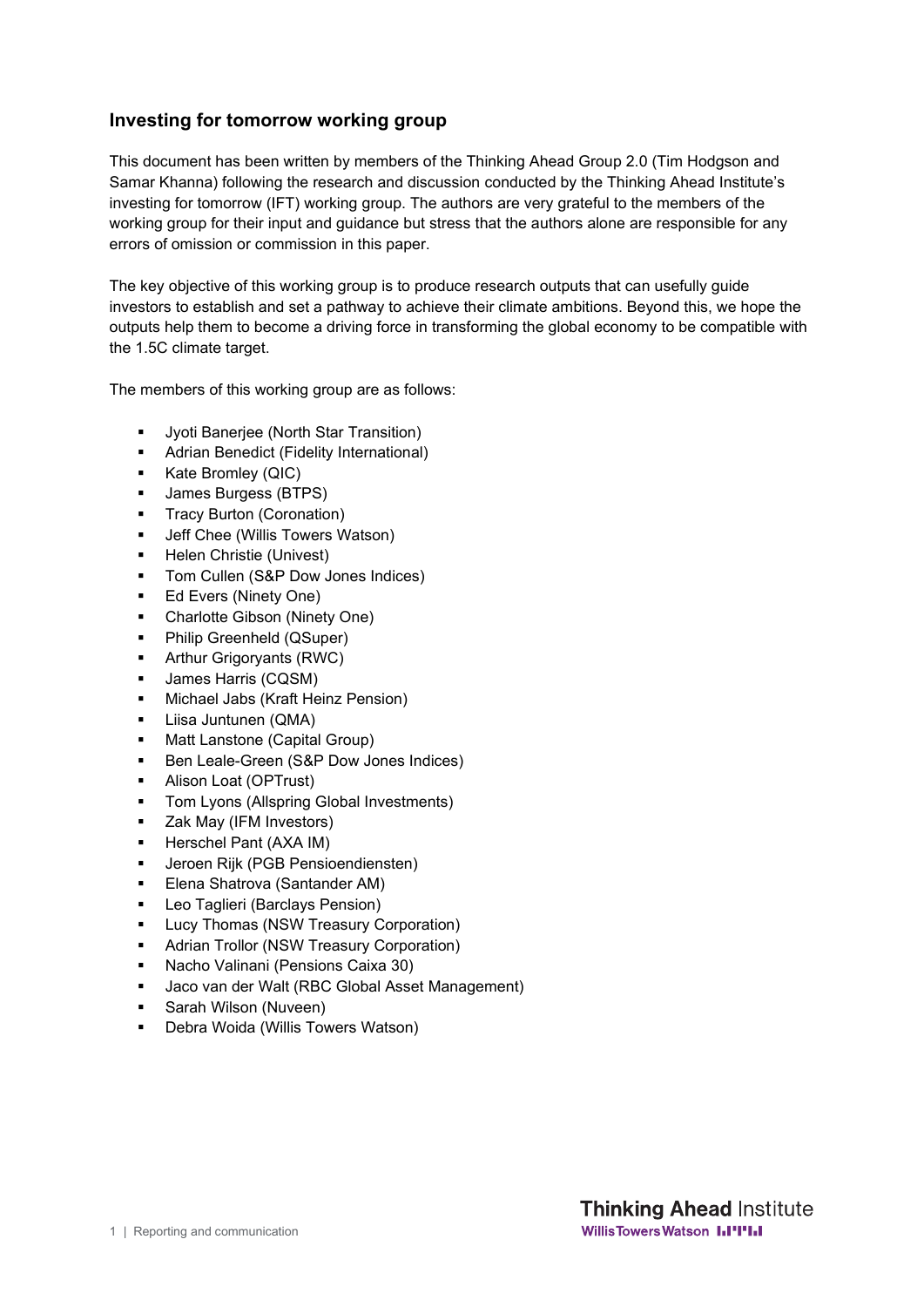#### **Investing for tomorrow working group**

This document has been written by members of the Thinking Ahead Group 2.0 (Tim Hodgson and Samar Khanna) following the research and discussion conducted by the Thinking Ahead Institute's investing for tomorrow (IFT) working group. The authors are very grateful to the members of the working group for their input and guidance but stress that the authors alone are responsible for any errors of omission or commission in this paper.

The key objective of this working group is to produce research outputs that can usefully guide investors to establish and set a pathway to achieve their climate ambitions. Beyond this, we hope the outputs help them to become a driving force in transforming the global economy to be compatible with the 1.5C climate target.

The members of this working group are as follows:

- **Jyoti Banerjee (North Star Transition)**
- Adrian Benedict (Fidelity International)
- Kate Bromley (QIC)
- **James Burgess (BTPS)**
- Tracy Burton (Coronation)
- **Jeff Chee (Willis Towers Watson)**
- **-** Helen Christie (Univest)
- **Tom Cullen (S&P Dow Jones Indices)**
- **Ed Evers (Ninety One)**
- Charlotte Gibson (Ninety One)
- **•** Philip Greenheld (QSuper)
- **Arthur Grigoryants (RWC)**
- **James Harris (CQSM)**
- **Michael Jabs (Kraft Heinz Pension)**
- Liisa Juntunen (QMA)
- Matt Lanstone (Capital Group)
- **Ben Leale-Green (S&P Dow Jones Indices)**
- **Alison Loat (OPTrust)**
- Tom Lyons (Allspring Global Investments)
- **EXEC** Zak May (IFM Investors)
- **Herschel Pant (AXA IM)**
- **Jeroen Rijk (PGB Pensioendiensten)**
- **Elena Shatrova (Santander AM)**
- **Leo Taglieri (Barclays Pension)**
- Lucy Thomas (NSW Treasury Corporation)
- **Adrian Trollor (NSW Treasury Corporation)**
- Nacho Valinani (Pensions Caixa 30)
- Jaco van der Walt (RBC Global Asset Management)
- **Sarah Wilson (Nuveen)**
- Debra Woida (Willis Towers Watson)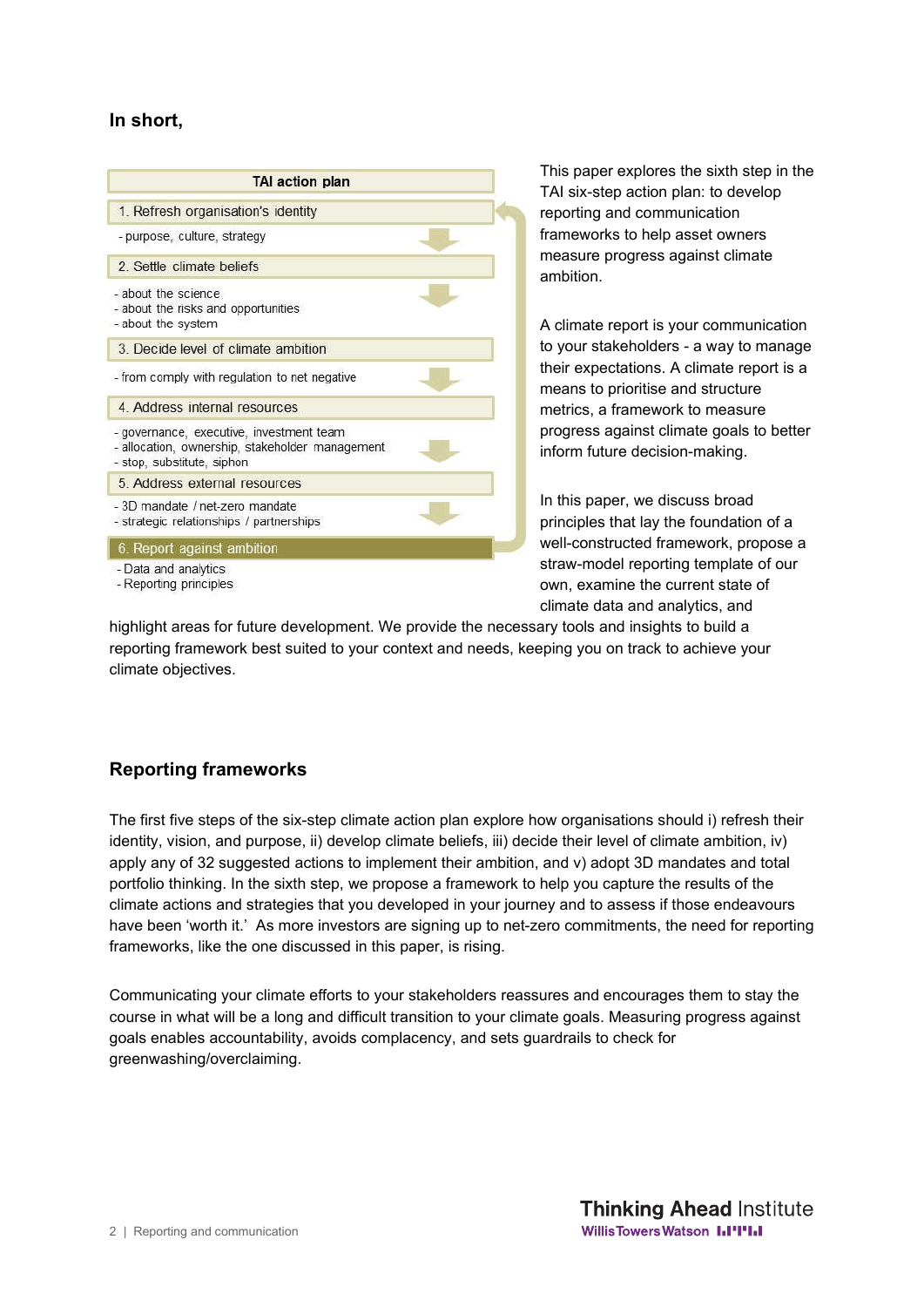#### **In short,**

| <b>TAI action plan</b>                                                                                                    |  |
|---------------------------------------------------------------------------------------------------------------------------|--|
| 1. Refresh organisation's identity                                                                                        |  |
| - purpose, culture, strategy                                                                                              |  |
| 2 Settle climate beliefs                                                                                                  |  |
| - about the science<br>- about the risks and opportunities<br>- about the system                                          |  |
| 3. Decide level of climate ambition                                                                                       |  |
| - from comply with regulation to net negative                                                                             |  |
| 4. Address internal resources                                                                                             |  |
| - governance, executive, investment team<br>- allocation, ownership, stakeholder management<br>- stop, substitute, siphon |  |
| 5 Address external resources                                                                                              |  |
| - 3D mandate / net-zero mandate<br>- strategic relationships / partnerships                                               |  |
| 6. Report against ambition                                                                                                |  |
| - Data and analytics<br>- Reporting principles                                                                            |  |

This paper explores the sixth step in the TAI six-step action plan: to develop reporting and communication frameworks to help asset owners measure progress against climate ambition.

A climate report is your communication to your stakeholders - a way to manage their expectations. A climate report is a means to prioritise and structure metrics, a framework to measure progress against climate goals to better inform future decision-making.

In this paper, we discuss broad principles that lay the foundation of a well-constructed framework, propose a straw-model reporting template of our own, examine the current state of climate data and analytics, and

highlight areas for future development. We provide the necessary tools and insights to build a reporting framework best suited to your context and needs, keeping you on track to achieve your climate objectives.

# **Reporting frameworks**

The first five steps of the six-step climate action plan explore how organisations should i) refresh their identity, vision, and purpose, ii) develop climate beliefs, iii) decide their level of climate ambition, iv) apply any of 32 suggested actions to implement their ambition, and v) adopt 3D mandates and total portfolio thinking. In the sixth step, we propose a framework to help you capture the results of the climate actions and strategies that you developed in your journey and to assess if those endeavours have been 'worth it.' As more investors are signing up to net-zero commitments, the need for reporting frameworks, like the one discussed in this paper, is rising.

Communicating your climate efforts to your stakeholders reassures and encourages them to stay the course in what will be a long and difficult transition to your climate goals. Measuring progress against goals enables accountability, avoids complacency, and sets guardrails to check for greenwashing/overclaiming.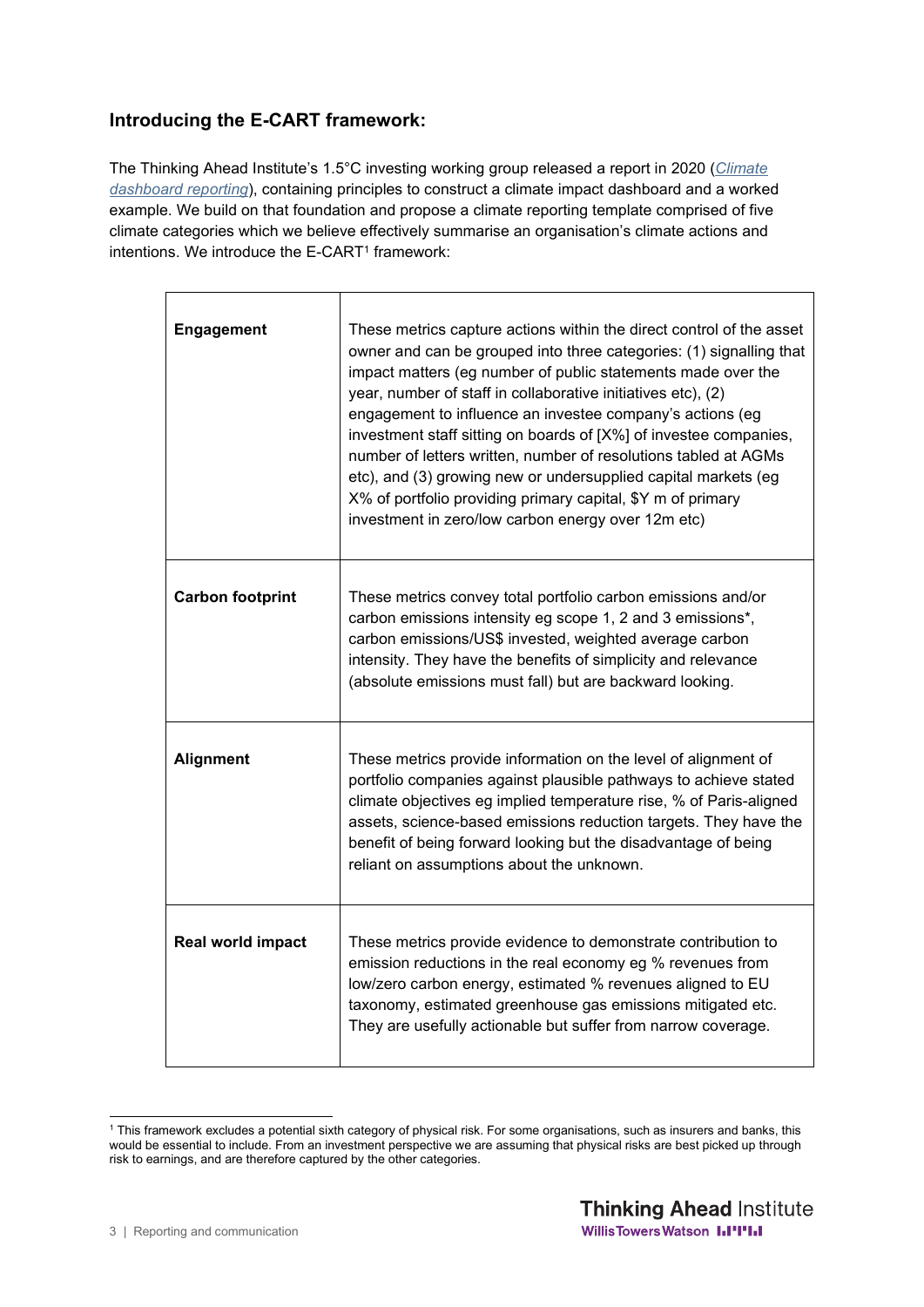# **Introducing the E-CART framework:**

The Thinking Ahead Institute's 1.5°C investing working group released a report in 2020 (*Climate dashboard reporting*), containing principles to construct a climate impact dashboard and a worked example. We build on that foundation and propose a climate reporting template comprised of five climate categories which we believe effectively summarise an organisation's climate actions and intentions. We introduce the  $E$ -CART<sup>1</sup> framework:

| <b>Engagement</b>       | These metrics capture actions within the direct control of the asset<br>owner and can be grouped into three categories: (1) signalling that<br>impact matters (eg number of public statements made over the<br>year, number of staff in collaborative initiatives etc), (2)<br>engagement to influence an investee company's actions (eg<br>investment staff sitting on boards of [X%] of investee companies,<br>number of letters written, number of resolutions tabled at AGMs<br>etc), and (3) growing new or undersupplied capital markets (eg<br>X% of portfolio providing primary capital, \$Y m of primary<br>investment in zero/low carbon energy over 12m etc) |
|-------------------------|-------------------------------------------------------------------------------------------------------------------------------------------------------------------------------------------------------------------------------------------------------------------------------------------------------------------------------------------------------------------------------------------------------------------------------------------------------------------------------------------------------------------------------------------------------------------------------------------------------------------------------------------------------------------------|
| <b>Carbon footprint</b> | These metrics convey total portfolio carbon emissions and/or<br>carbon emissions intensity eg scope 1, 2 and 3 emissions*,<br>carbon emissions/US\$ invested, weighted average carbon<br>intensity. They have the benefits of simplicity and relevance<br>(absolute emissions must fall) but are backward looking.                                                                                                                                                                                                                                                                                                                                                      |
| <b>Alignment</b>        | These metrics provide information on the level of alignment of<br>portfolio companies against plausible pathways to achieve stated<br>climate objectives eg implied temperature rise, % of Paris-aligned<br>assets, science-based emissions reduction targets. They have the<br>benefit of being forward looking but the disadvantage of being<br>reliant on assumptions about the unknown.                                                                                                                                                                                                                                                                             |
| Real world impact       | These metrics provide evidence to demonstrate contribution to<br>emission reductions in the real economy eg % revenues from<br>low/zero carbon energy, estimated % revenues aligned to EU<br>taxonomy, estimated greenhouse gas emissions mitigated etc.<br>They are usefully actionable but suffer from narrow coverage.                                                                                                                                                                                                                                                                                                                                               |

<sup>1</sup> This framework excludes a potential sixth category of physical risk. For some organisations, such as insurers and banks, this would be essential to include. From an investment perspective we are assuming that physical risks are best picked up through risk to earnings, and are therefore captured by the other categories.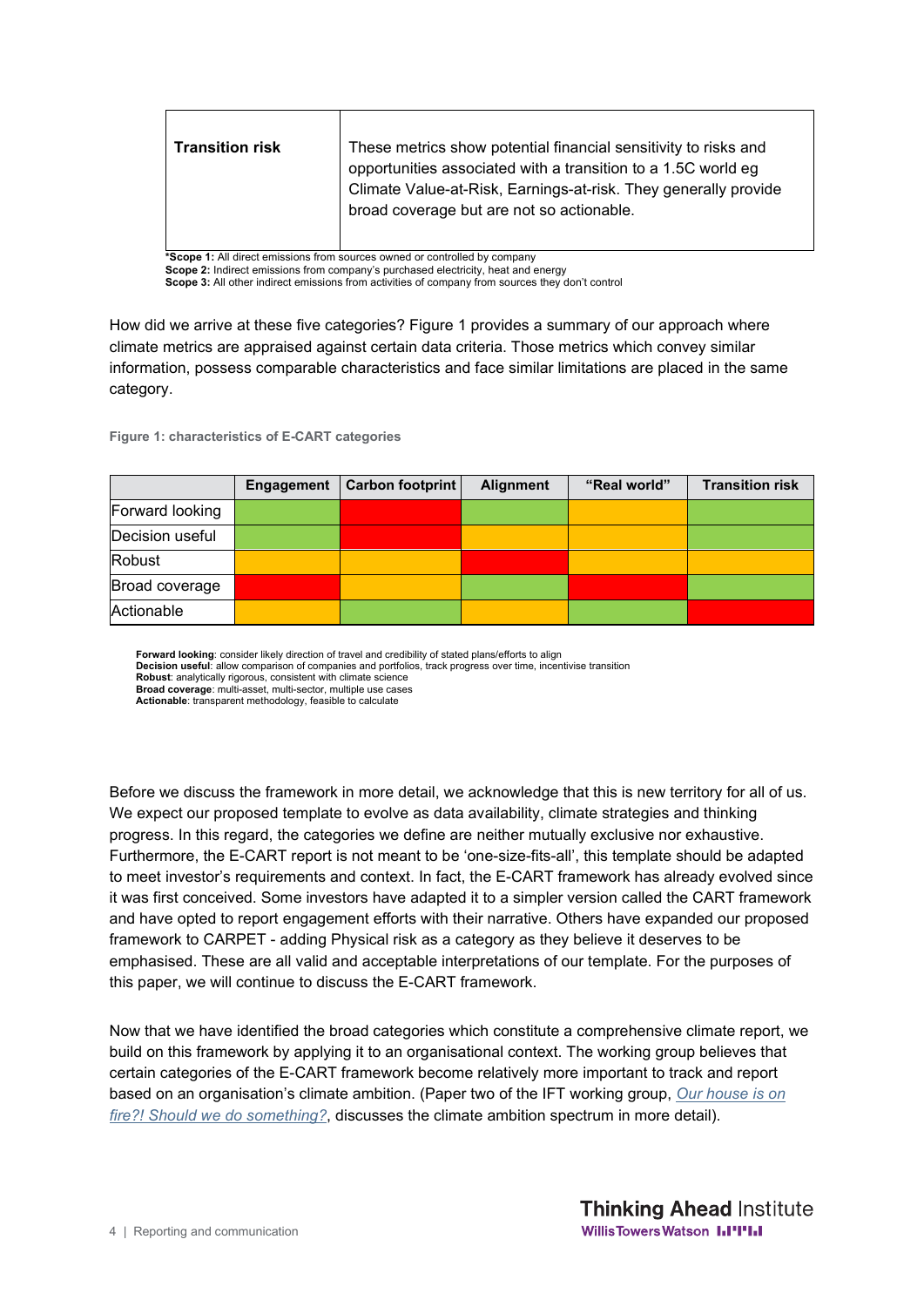| <b>Transition risk</b>                                                     | These metrics show potential financial sensitivity to risks and<br>opportunities associated with a transition to a 1.5C world eg<br>Climate Value-at-Risk, Earnings-at-risk. They generally provide<br>broad coverage but are not so actionable. |  |  |  |
|----------------------------------------------------------------------------|--------------------------------------------------------------------------------------------------------------------------------------------------------------------------------------------------------------------------------------------------|--|--|--|
| *Scope 1: All direct emissions from sources owned or controlled by company |                                                                                                                                                                                                                                                  |  |  |  |

**Scope 2:** Indirect emissions from company's purchased electricity, heat and energy **Scope 3:** All other indirect emissions from activities of company from sources they don't control

How did we arrive at these five categories? Figure 1 provides a summary of our approach where climate metrics are appraised against certain data criteria. Those metrics which convey similar information, possess comparable characteristics and face similar limitations are placed in the same category.

**Figure 1: characteristics of E-CART categories**

|                 | Engagement | Carbon footprint | Alignment | "Real world" | <b>Transition risk</b> |
|-----------------|------------|------------------|-----------|--------------|------------------------|
| Forward looking |            |                  |           |              |                        |
| Decision useful |            |                  |           |              |                        |
| <b>Robust</b>   |            |                  |           |              |                        |
| Broad coverage  |            |                  |           |              |                        |
| Actionable      |            |                  |           |              |                        |

**Forward looking**: consider likely direction of travel and credibility of stated plans/efforts to align

**Decision useful**: allow comparison of companies and portfolios, track progress over time, incentivise transition

**Robust**: analytically rigorous, consistent with climate science **Broad coverage**: multi-asset, multi-sector, multiple use cases

**Actionable**: transparent methodology, feasible to calculate

Before we discuss the framework in more detail, we acknowledge that this is new territory for all of us. We expect our proposed template to evolve as data availability, climate strategies and thinking progress. In this regard, the categories we define are neither mutually exclusive nor exhaustive. Furthermore, the E-CART report is not meant to be 'one-size-fits-all', this template should be adapted to meet investor's requirements and context. In fact, the E-CART framework has already evolved since it was first conceived. Some investors have adapted it to a simpler version called the CART framework and have opted to report engagement efforts with their narrative. Others have expanded our proposed framework to CARPET - adding Physical risk as a category as they believe it deserves to be emphasised. These are all valid and acceptable interpretations of our template. For the purposes of this paper, we will continue to discuss the E-CART framework.

Now that we have identified the broad categories which constitute a comprehensive climate report, we build on this framework by applying it to an organisational context. The working group believes that certain categories of the E-CART framework become relatively more important to track and report based on an organisation's climate ambition. (Paper two of the IFT working group, *Our house is on fire?! Should we do something?*, discusses the climate ambition spectrum in more detail).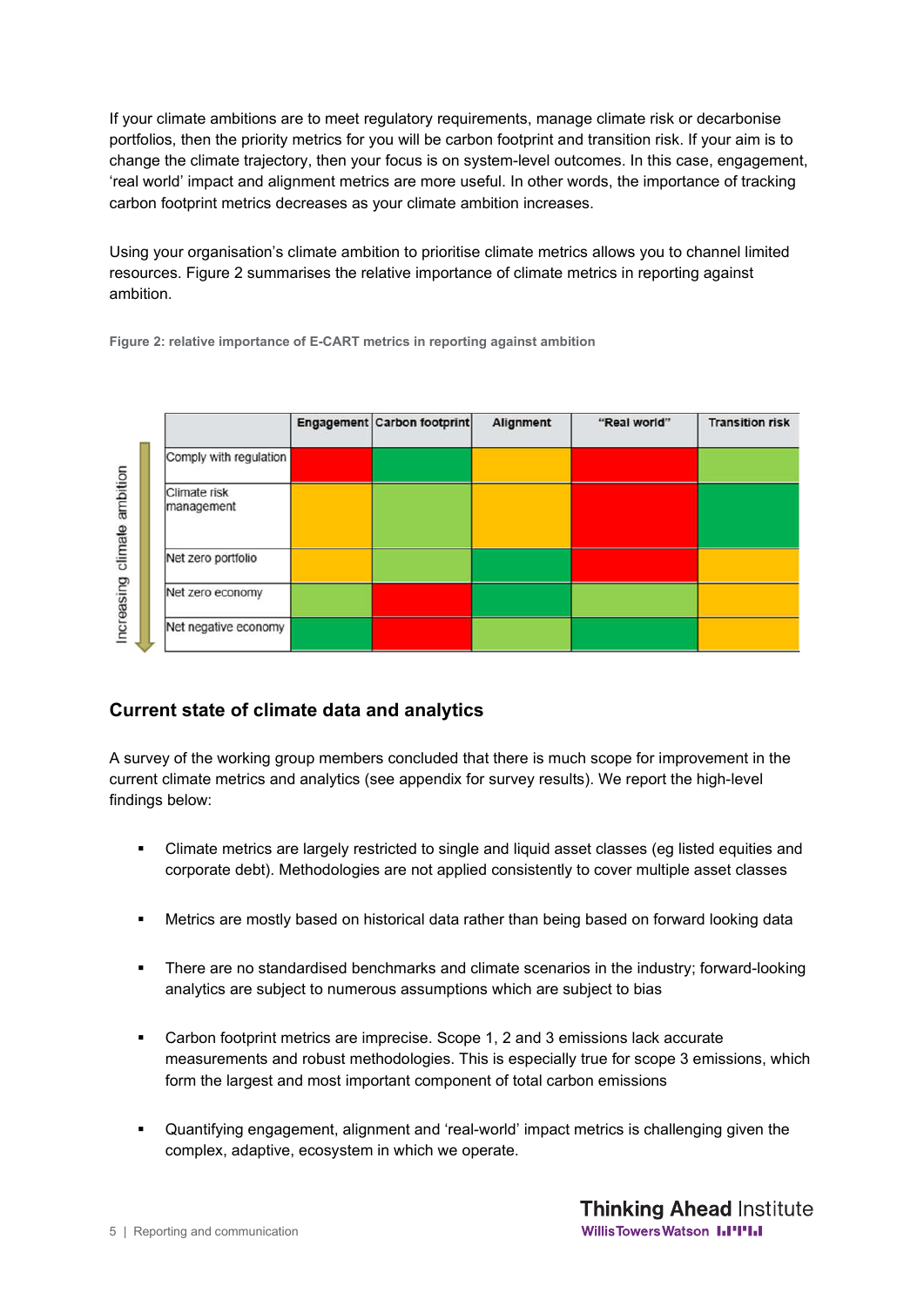If your climate ambitions are to meet regulatory requirements, manage climate risk or decarbonise portfolios, then the priority metrics for you will be carbon footprint and transition risk. If your aim is to change the climate trajectory, then your focus is on system-level outcomes. In this case, engagement, 'real world' impact and alignment metrics are more useful. In other words, the importance of tracking carbon footprint metrics decreases as your climate ambition increases.

Using your organisation's climate ambition to prioritise climate metrics allows you to channel limited resources. Figure 2 summarises the relative importance of climate metrics in reporting against ambition.

**Figure 2: relative importance of E-CART metrics in reporting against ambition**

|                  |                            | Engagement Carbon footprint | Alignment | "Real world" | <b>Transition risk</b> |
|------------------|----------------------------|-----------------------------|-----------|--------------|------------------------|
|                  | Comply with regulation     |                             |           |              |                        |
| climate ambition | Climate risk<br>management |                             |           |              |                        |
|                  | Net zero portfolio         |                             |           |              |                        |
| ncreasing        | Net zero economy           |                             |           |              |                        |
|                  | Net negative economy       |                             |           |              |                        |

### **Current state of climate data and analytics**

A survey of the working group members concluded that there is much scope for improvement in the current climate metrics and analytics (see appendix for survey results). We report the high-level findings below:

- Climate metrics are largely restricted to single and liquid asset classes (eg listed equities and corporate debt). Methodologies are not applied consistently to cover multiple asset classes
- Metrics are mostly based on historical data rather than being based on forward looking data
- There are no standardised benchmarks and climate scenarios in the industry; forward-looking analytics are subject to numerous assumptions which are subject to bias
- Carbon footprint metrics are imprecise. Scope 1, 2 and 3 emissions lack accurate measurements and robust methodologies. This is especially true for scope 3 emissions, which form the largest and most important component of total carbon emissions
- Quantifying engagement, alignment and 'real-world' impact metrics is challenging given the complex, adaptive, ecosystem in which we operate.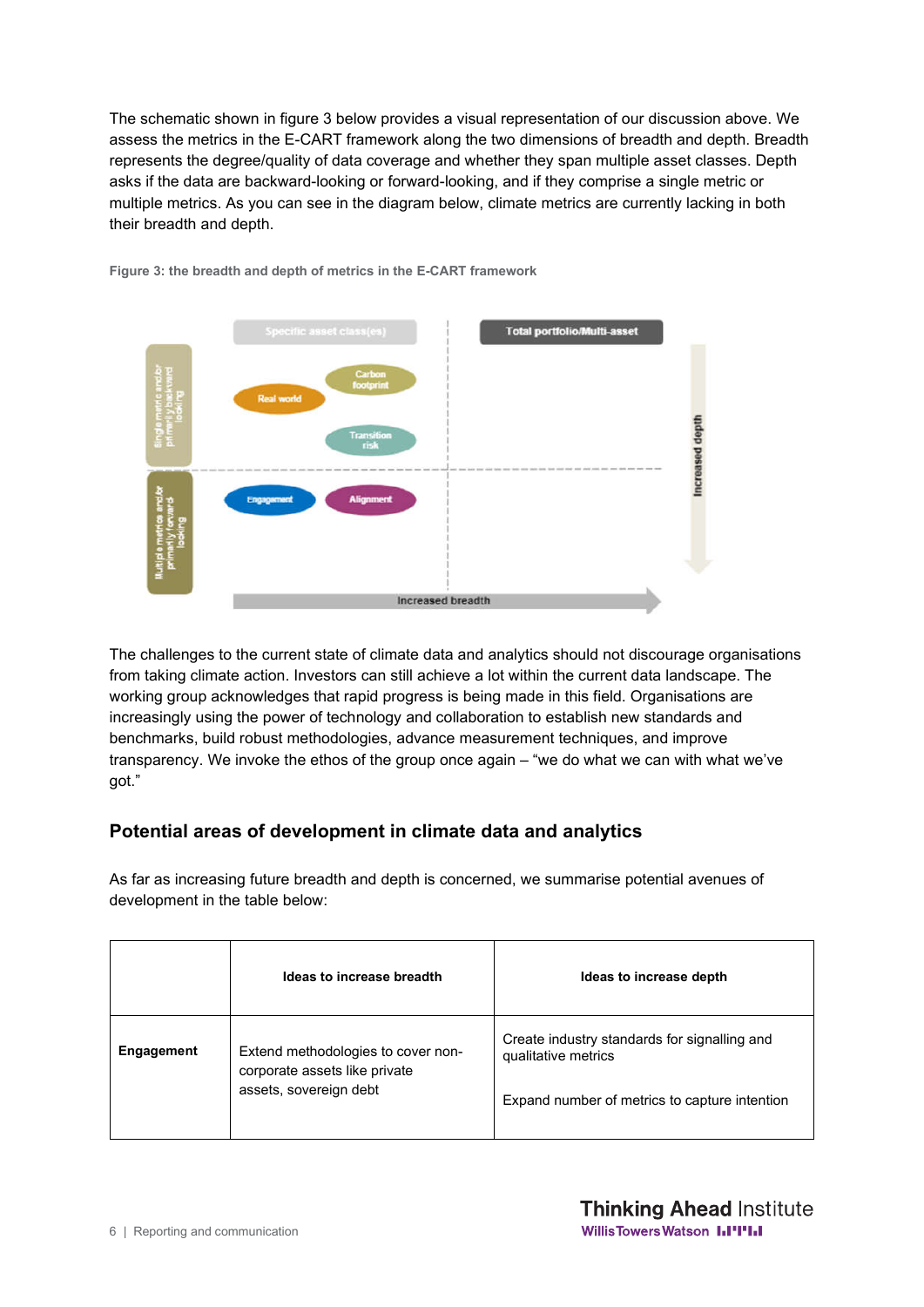The schematic shown in figure 3 below provides a visual representation of our discussion above. We assess the metrics in the E-CART framework along the two dimensions of breadth and depth. Breadth represents the degree/quality of data coverage and whether they span multiple asset classes. Depth asks if the data are backward-looking or forward-looking, and if they comprise a single metric or multiple metrics. As you can see in the diagram below, climate metrics are currently lacking in both their breadth and depth.



**Figure 3: the breadth and depth of metrics in the E-CART framework**

The challenges to the current state of climate data and analytics should not discourage organisations from taking climate action. Investors can still achieve a lot within the current data landscape. The working group acknowledges that rapid progress is being made in this field. Organisations are increasingly using the power of technology and collaboration to establish new standards and benchmarks, build robust methodologies, advance measurement techniques, and improve transparency. We invoke the ethos of the group once again – "we do what we can with what we've got."

### **Potential areas of development in climate data and analytics**

As far as increasing future breadth and depth is concerned, we summarise potential avenues of development in the table below:

|            | Ideas to increase breadth                                                                     | Ideas to increase depth                                                                                              |
|------------|-----------------------------------------------------------------------------------------------|----------------------------------------------------------------------------------------------------------------------|
| Engagement | Extend methodologies to cover non-<br>corporate assets like private<br>assets, sovereign debt | Create industry standards for signalling and<br>qualitative metrics<br>Expand number of metrics to capture intention |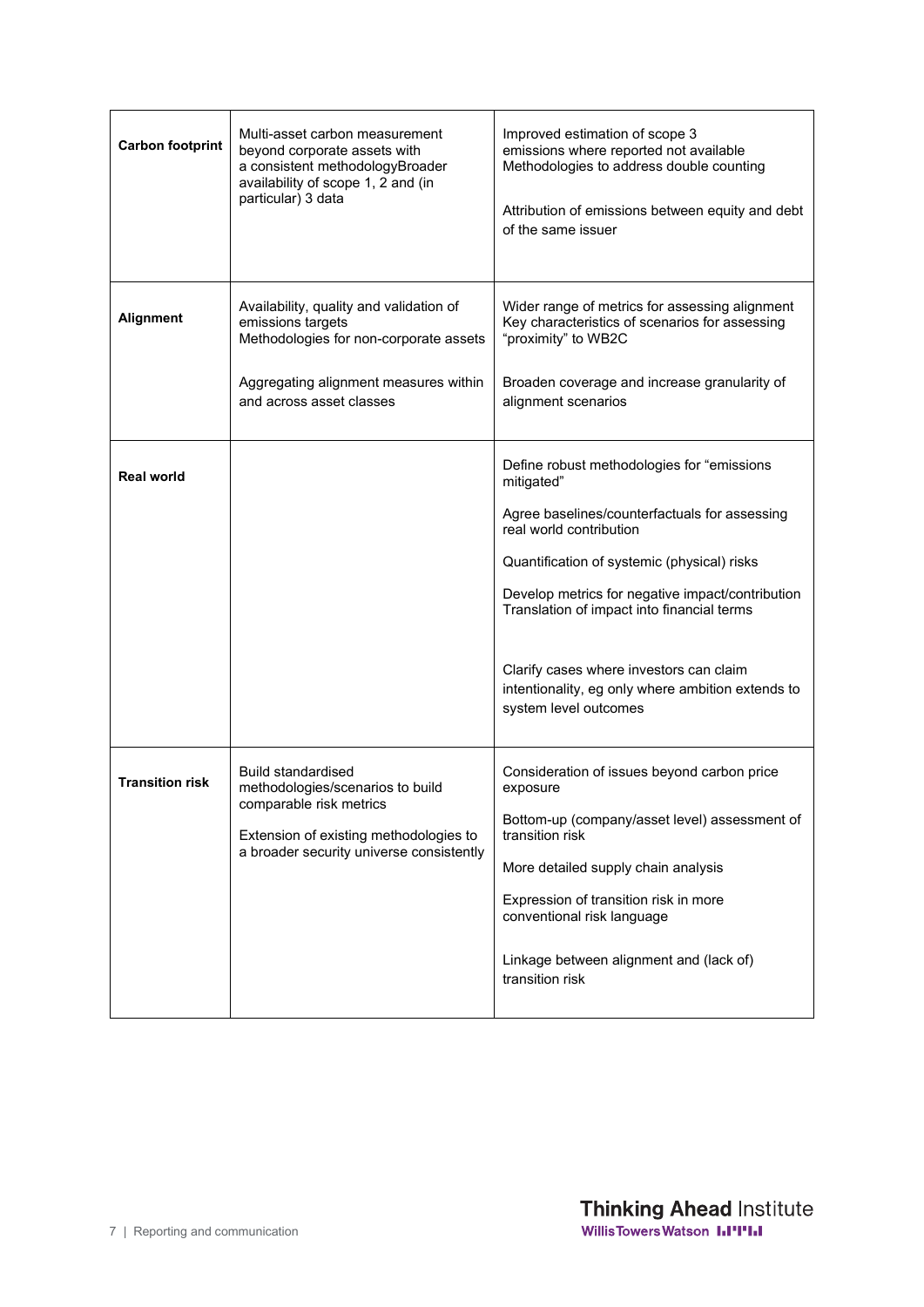| <b>Carbon footprint</b> | Multi-asset carbon measurement<br>beyond corporate assets with<br>a consistent methodologyBroader<br>availability of scope 1, 2 and (in<br>particular) 3 data                  | Improved estimation of scope 3<br>emissions where reported not available<br>Methodologies to address double counting<br>Attribution of emissions between equity and debt<br>of the same issuer                                                                                                                                                                                                                 |
|-------------------------|--------------------------------------------------------------------------------------------------------------------------------------------------------------------------------|----------------------------------------------------------------------------------------------------------------------------------------------------------------------------------------------------------------------------------------------------------------------------------------------------------------------------------------------------------------------------------------------------------------|
| <b>Alignment</b>        | Availability, quality and validation of<br>emissions targets<br>Methodologies for non-corporate assets<br>Aggregating alignment measures within<br>and across asset classes    | Wider range of metrics for assessing alignment<br>Key characteristics of scenarios for assessing<br>"proximity" to WB2C<br>Broaden coverage and increase granularity of<br>alignment scenarios                                                                                                                                                                                                                 |
| <b>Real world</b>       |                                                                                                                                                                                | Define robust methodologies for "emissions<br>mitigated"<br>Agree baselines/counterfactuals for assessing<br>real world contribution<br>Quantification of systemic (physical) risks<br>Develop metrics for negative impact/contribution<br>Translation of impact into financial terms<br>Clarify cases where investors can claim<br>intentionality, eg only where ambition extends to<br>system level outcomes |
| <b>Transition risk</b>  | <b>Build standardised</b><br>methodologies/scenarios to build<br>comparable risk metrics<br>Extension of existing methodologies to<br>a broader security universe consistently | Consideration of issues beyond carbon price<br>exposure<br>Bottom-up (company/asset level) assessment of<br>transition risk<br>More detailed supply chain analysis<br>Expression of transition risk in more<br>conventional risk language<br>Linkage between alignment and (lack of)<br>transition risk                                                                                                        |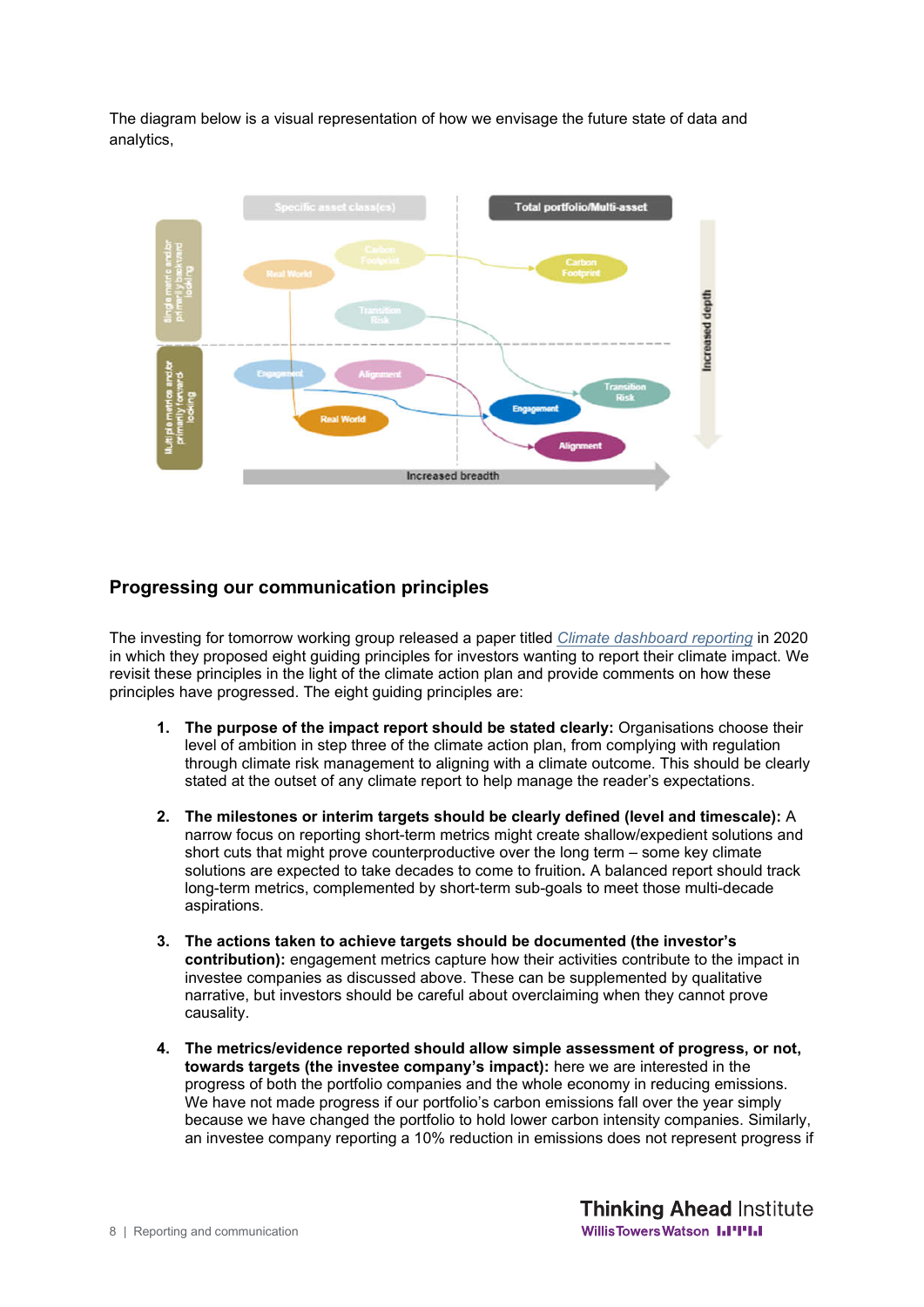The diagram below is a visual representation of how we envisage the future state of data and analytics,



#### **Progressing our communication principles**

The investing for tomorrow working group released a paper titled *Climate dashboard reporting* in 2020 in which they proposed eight guiding principles for investors wanting to report their climate impact. We revisit these principles in the light of the climate action plan and provide comments on how these principles have progressed. The eight guiding principles are:

- **1. The purpose of the impact report should be stated clearly:** Organisations choose their level of ambition in step three of the climate action plan, from complying with regulation through climate risk management to aligning with a climate outcome. This should be clearly stated at the outset of any climate report to help manage the reader's expectations.
- **2. The milestones or interim targets should be clearly defined (level and timescale):** A narrow focus on reporting short-term metrics might create shallow/expedient solutions and short cuts that might prove counterproductive over the long term – some key climate solutions are expected to take decades to come to fruition**.** A balanced report should track long-term metrics, complemented by short-term sub-goals to meet those multi-decade aspirations.
- **3. The actions taken to achieve targets should be documented (the investor's contribution):** engagement metrics capture how their activities contribute to the impact in investee companies as discussed above. These can be supplemented by qualitative narrative, but investors should be careful about overclaiming when they cannot prove causality.
- **4. The metrics/evidence reported should allow simple assessment of progress, or not, towards targets (the investee company's impact):** here we are interested in the progress of both the portfolio companies and the whole economy in reducing emissions. We have not made progress if our portfolio's carbon emissions fall over the year simply because we have changed the portfolio to hold lower carbon intensity companies. Similarly, an investee company reporting a 10% reduction in emissions does not represent progress if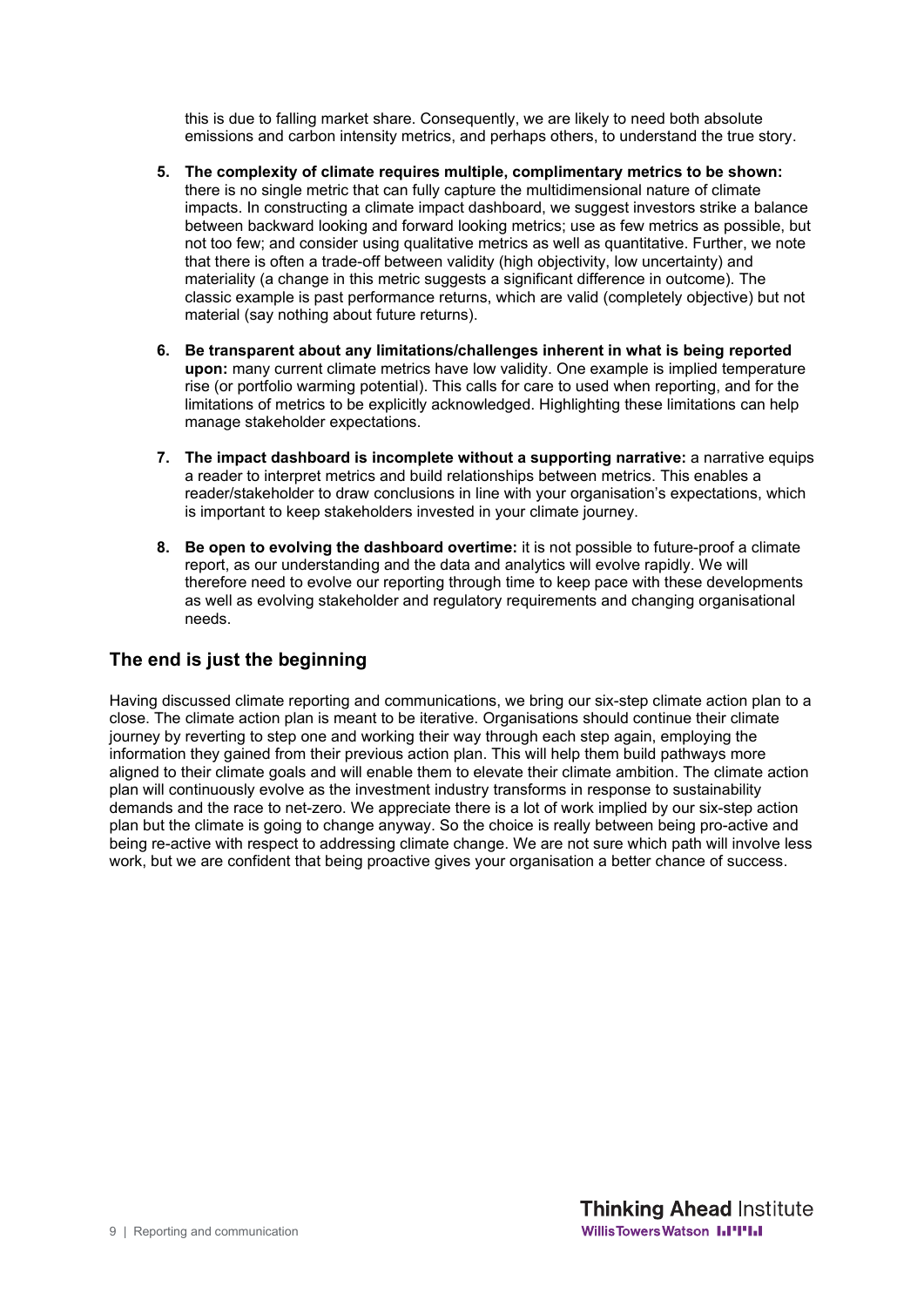this is due to falling market share. Consequently, we are likely to need both absolute emissions and carbon intensity metrics, and perhaps others, to understand the true story.

- **5. The complexity of climate requires multiple, complimentary metrics to be shown:**  there is no single metric that can fully capture the multidimensional nature of climate impacts. In constructing a climate impact dashboard, we suggest investors strike a balance between backward looking and forward looking metrics; use as few metrics as possible, but not too few; and consider using qualitative metrics as well as quantitative. Further, we note that there is often a trade-off between validity (high objectivity, low uncertainty) and materiality (a change in this metric suggests a significant difference in outcome). The classic example is past performance returns, which are valid (completely objective) but not material (say nothing about future returns).
- **6. Be transparent about any limitations/challenges inherent in what is being reported upon:** many current climate metrics have low validity. One example is implied temperature rise (or portfolio warming potential). This calls for care to used when reporting, and for the limitations of metrics to be explicitly acknowledged. Highlighting these limitations can help manage stakeholder expectations.
- **7. The impact dashboard is incomplete without a supporting narrative:** a narrative equips a reader to interpret metrics and build relationships between metrics. This enables a reader/stakeholder to draw conclusions in line with your organisation's expectations, which is important to keep stakeholders invested in your climate journey.
- **8. Be open to evolving the dashboard overtime:** it is not possible to future-proof a climate report, as our understanding and the data and analytics will evolve rapidly. We will therefore need to evolve our reporting through time to keep pace with these developments as well as evolving stakeholder and regulatory requirements and changing organisational needs.

### **The end is just the beginning**

Having discussed climate reporting and communications, we bring our six-step climate action plan to a close. The climate action plan is meant to be iterative. Organisations should continue their climate journey by reverting to step one and working their way through each step again, employing the information they gained from their previous action plan. This will help them build pathways more aligned to their climate goals and will enable them to elevate their climate ambition. The climate action plan will continuously evolve as the investment industry transforms in response to sustainability demands and the race to net-zero. We appreciate there is a lot of work implied by our six-step action plan but the climate is going to change anyway. So the choice is really between being pro-active and being re-active with respect to addressing climate change. We are not sure which path will involve less work, but we are confident that being proactive gives your organisation a better chance of success.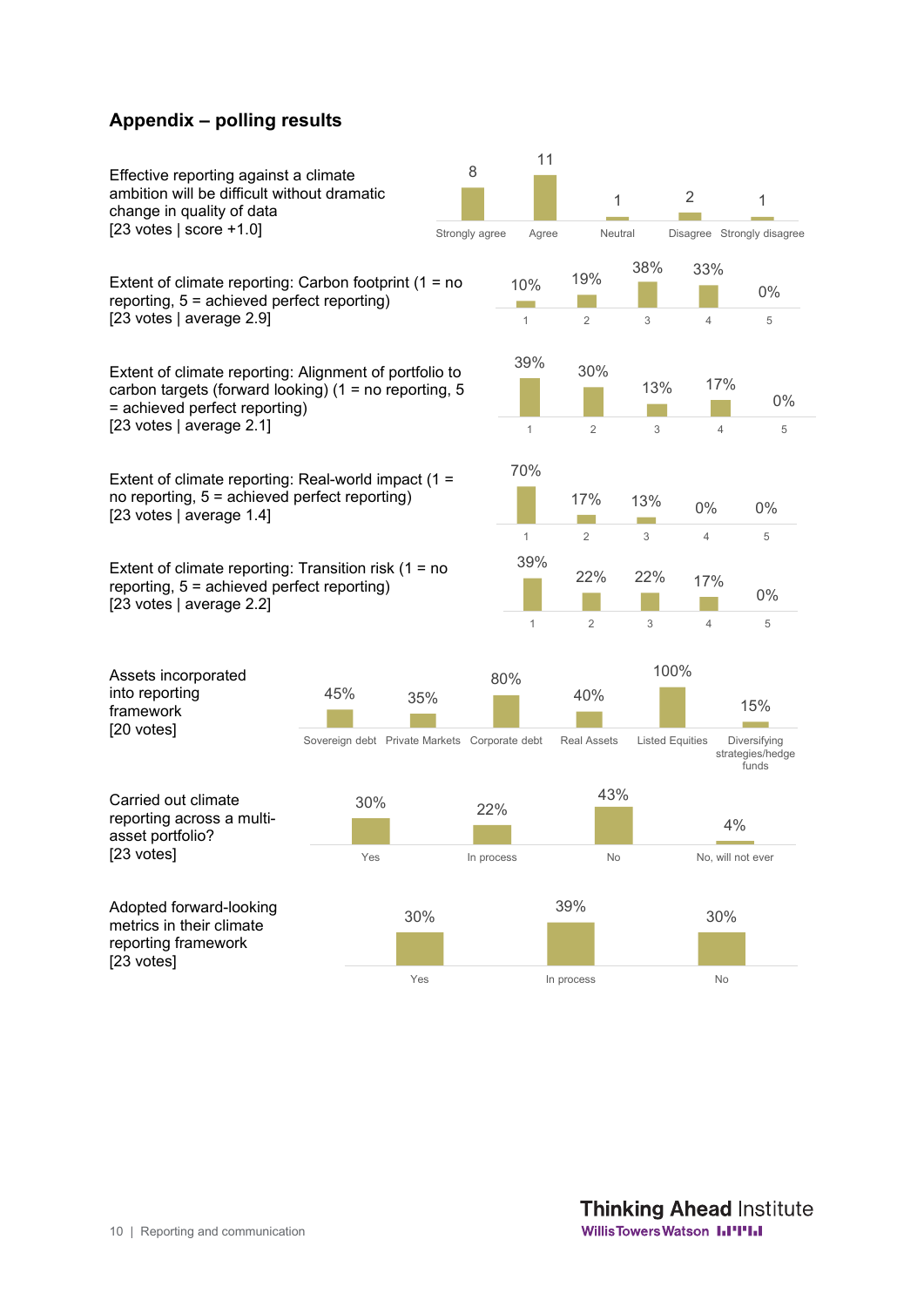#### **Appendix – polling results**

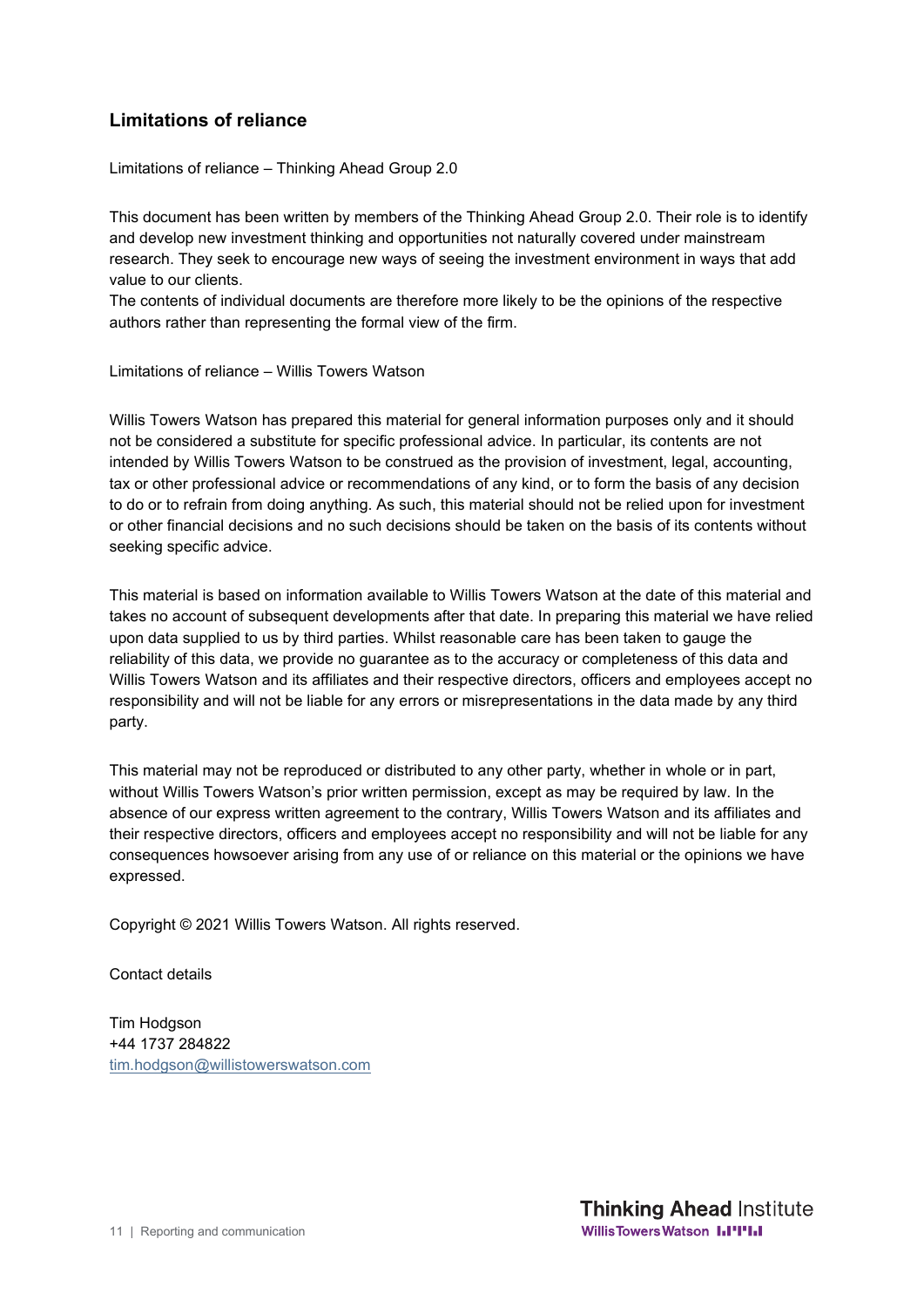## **Limitations of reliance**

Limitations of reliance – Thinking Ahead Group 2.0

This document has been written by members of the Thinking Ahead Group 2.0. Their role is to identify and develop new investment thinking and opportunities not naturally covered under mainstream research. They seek to encourage new ways of seeing the investment environment in ways that add value to our clients.

The contents of individual documents are therefore more likely to be the opinions of the respective authors rather than representing the formal view of the firm.

Limitations of reliance – Willis Towers Watson

Willis Towers Watson has prepared this material for general information purposes only and it should not be considered a substitute for specific professional advice. In particular, its contents are not intended by Willis Towers Watson to be construed as the provision of investment, legal, accounting, tax or other professional advice or recommendations of any kind, or to form the basis of any decision to do or to refrain from doing anything. As such, this material should not be relied upon for investment or other financial decisions and no such decisions should be taken on the basis of its contents without seeking specific advice.

This material is based on information available to Willis Towers Watson at the date of this material and takes no account of subsequent developments after that date. In preparing this material we have relied upon data supplied to us by third parties. Whilst reasonable care has been taken to gauge the reliability of this data, we provide no guarantee as to the accuracy or completeness of this data and Willis Towers Watson and its affiliates and their respective directors, officers and employees accept no responsibility and will not be liable for any errors or misrepresentations in the data made by any third party.

This material may not be reproduced or distributed to any other party, whether in whole or in part, without Willis Towers Watson's prior written permission, except as may be required by law. In the absence of our express written agreement to the contrary, Willis Towers Watson and its affiliates and their respective directors, officers and employees accept no responsibility and will not be liable for any consequences howsoever arising from any use of or reliance on this material or the opinions we have expressed.

Copyright © 2021 Willis Towers Watson. All rights reserved.

Contact details

Tim Hodgson +44 1737 284822 tim.hodgson@willistowerswatson.com